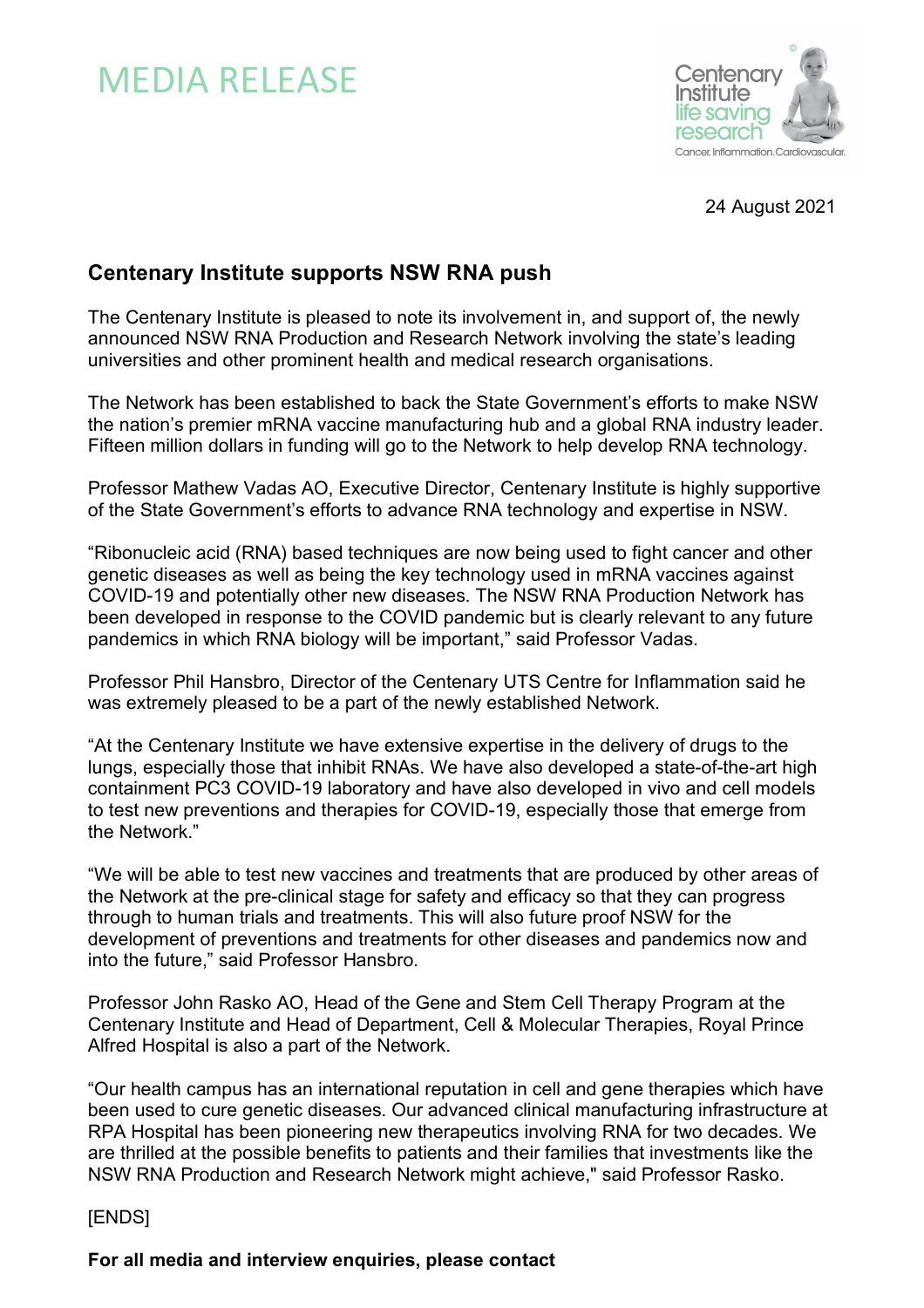## MEDIA RELEASE



24 August 2021

## **Centenary Institute supports NSW RNA push**

The Centenary Institute is pleased to note its involvement in, and support of, the newly announced NSW RNA Production and Research Network involving the state's leading universities and other prominent health and medical research organisations.

The Network has been established to back the State Government's efforts to make NSW the nation's premier mRNA vaccine manufacturing hub and a global RNA industry leader. Fifteen million dollars in funding will go to the Network to help develop RNA technology.

Professor Mathew Vadas AO, Executive Director, Centenary Institute is highly supportive of the State Government's efforts to advance RNA technology and expertise in NSW.

"Ribonucleic acid (RNA) based techniques are now being used to fight cancer and other genetic diseases as well as being the key technology used in mRNA vaccines against COVID-19 and potentially other new diseases. The NSW RNA Production Network has been developed in response to the COVID pandemic but is clearly relevant to any future pandemics in which RNA biology will be important," said Professor Vadas.

Professor Phil Hansbro, Director of the Centenary UTS Centre for Inflammation said he was extremely pleased to be a part of the newly established Network.

"At the Centenary Institute we have extensive expertise in the delivery of drugs to the lungs, especially those that inhibit RNAs. We have also developed a state-of-the-art high containment PC3 COVID-19 laboratory and have also developed in vivo and cell models to test new preventions and therapies for COVID-19, especially those that emerge from the Network."

"We will be able to test new vaccines and treatments that are produced by other areas of the Network at the pre-clinical stage for safety and efficacy so that they can progress through to human trials and treatments. This will also future proof NSW for the development of preventions and treatments for other diseases and pandemics now and into the future," said Professor Hansbro.

Professor John Rasko AO, Head of the Gene and Stem Cell Therapy Program at the Centenary Institute and Head of Department, Cell & Molecular Therapies, Royal Prince Alfred Hospital is also a part of the Network.

"Our health campus has an international reputation in cell and gene therapies which have been used to cure genetic diseases. Our advanced clinical manufacturing infrastructure at RPA Hospital has been pioneering new therapeutics involving RNA for two decades. We are thrilled at the possible benefits to patients and their families that investments like the NSW RNA Production and Research Network might achieve," said Professor Rasko.

## [ENDS]

**For all media and interview enquiries, please contact**